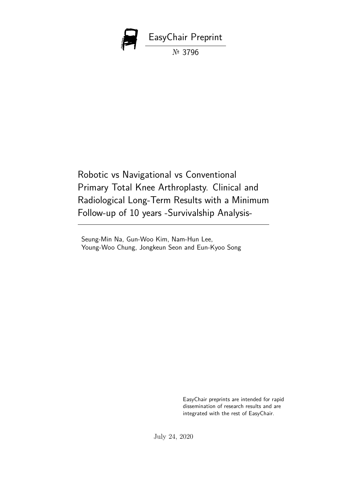

Robotic vs Navigational vs Conventional Primary Total Knee Arthroplasty. Clinical and Radiological Long-Term Results with a Minimum Follow-up of 10 years -Survivalship Analysis-

Seung-Min Na, Gun-Woo Kim, Nam-Hun Lee, Young-Woo Chung, Jongkeun Seon and Eun-Kyoo Song

> EasyChair preprints are intended for rapid dissemination of research results and are integrated with the rest of EasyChair.

July 24, 2020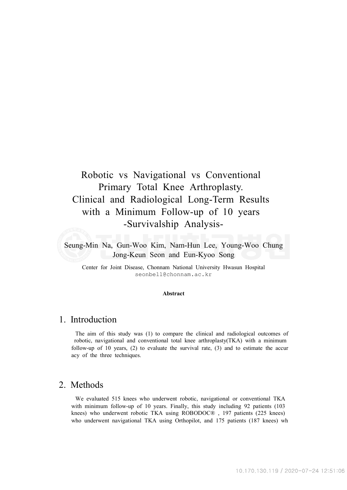# Robotic vs Navigational vs Conventional Primary Total Knee Arthroplasty. Clinical and Radiological Long-Term Results with a Minimum Follow-up of 10 years -Survivalship Analysis-

Seung-Min Na, Gun-Woo Kim, Nam-Hun Lee, Young-Woo Chung Jong-Keun Seon and Eun-Kyoo Song

Center for Joint Disease, Chonnam National University Hwasun Hospital seonbell@chonnam.ac.kr

#### **Abstract**

### 1. Introduction

The aim of this study was (1) to compare the clinical and radiological outcomes of robotic, navigational and conventional total knee arthroplasty(TKA) with a minimum follow-up of 10 years, (2) to evaluate the survival rate, (3) and to estimate the accur acy of the three techniques.

#### 2. Methods

We evaluated 515 knees who underwent robotic, navigational or conventional TKA with minimum follow-up of 10 years. Finally, this study including 92 patients (103 knees) who underwent robotic TKA using ROBODOC® , 197 patients (225 knees) who underwent navigational TKA using Orthopilot, and 175 patients (187 knees) wh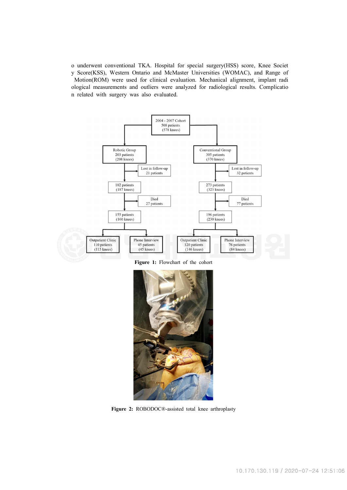o underwent conventional TKA. Hospital for special surgery(HSS) score, Knee Societ y Score(KSS), Western Ontario and McMaster Universities (WOMAC), and Range of Motion(ROM) were used for clinical evaluation. Mechanical alignment, implant radi ological measurements and outliers were analyzed for radiological results. Complicatio n related with surgery was also evaluated.



**Figure 1:** Flowchart of the cohort



**Figure 2:** ROBODOC®-assisted total knee arthroplasty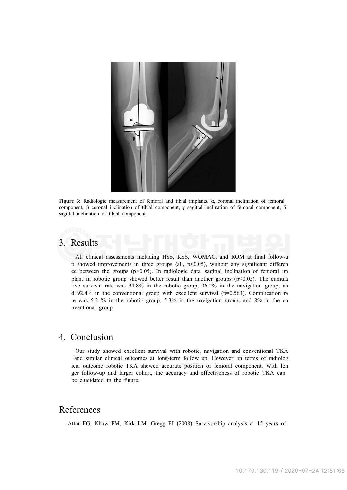

**Figure 3:** Radiologic measurement of femoral and tibial implants. α, coronal inclination of femoral component, β coronal inclination of tibial component, γ sagittal inclination of femoral component, δ sagittal inclination of tibial component

## 3. Results

All clinical assessments including HSS, KSS, WOMAC, and ROM at final follow-u  $p$  showed improvements in three groups (all,  $p<0.05$ ), without any significant differen ce between the groups  $(p>0.05)$ . In radiologic data, sagittal inclination of femoral im plant in robotic group showed better result than another groups  $(p<0.05)$ . The cumula tive survival rate was 94.8% in the robotic group, 96.2% in the navigation group, an d 92.4% in the conventional group with excellent survival (p=0.563). Complication ra te was 5.2 % in the robotic group, 5.3% in the navigation group, and 8% in the co nventional group

## 4. Conclusion

Our study showed excellent survival with robotic, navigation and conventional TKA and similar clinical outcomes at long-term follow up. However, in terms of radiolog ical outcome robotic TKA showed accurate position of femoral component. With lon ger follow-up and larger cohort, the accuracy and effectiveness of robotic TKA can be elucidated in the future.

## References

Attar FG, Khaw FM, Kirk LM, Gregg PJ (2008) Survivorship analysis at 15 years of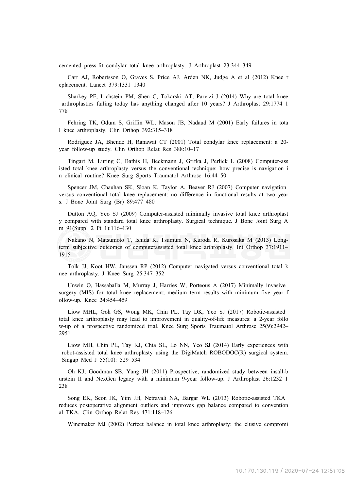cemented press-fit condylar total knee arthroplasty. J Arthroplast 23:344–349

Carr AJ, Robertsson O, Graves S, Price AJ, Arden NK, Judge A et al (2012) Knee r eplacement. Lancet 379:1331–1340

Sharkey PF, Lichstein PM, Shen C, Tokarski AT, Parvizi J (2014) Why are total knee arthroplasties failing today–has anything changed after 10 years? J Arthroplast 29:1774–1 778

Fehring TK, Odum S, Griffin WL, Mason JB, Nadaud M (2001) Early failures in tota l knee arthroplasty. Clin Orthop 392:315–318

Rodriguez JA, Bhende H, Ranawat CT (2001) Total condylar knee replacement: a 20 year follow-up study. Clin Orthop Relat Res 388:10–17

Tingart M, Luring C, Bathis H, Beckmann J, Grifka J, Perlick L (2008) Computer-ass isted total knee arthroplasty versus the conventional technique: how precise is navigation i n clinical routine? Knee Surg Sports Traumatol Arthrosc 16:44–50

Spencer JM, Chauhan SK, Sloan K, Taylor A, Beaver RJ (2007) Computer navigation versus conventional total knee replacement: no difference in functional results at two year s. J Bone Joint Surg (Br) 89:477–480

Dutton AQ, Yeo SJ (2009) Computer-assisted minimally invasive total knee arthroplast y compared with standard total knee arthroplasty. Surgical technique. J Bone Joint Surg A m 91(Suppl 2 Pt 1):116–130

Nakano N, Matsumoto T, Ishida K, Tsumura N, Kuroda R, Kurosaka M (2013) Longterm subjective outcomes of computerassisted total knee arthroplasty. Int Orthop 37:1911– 1915

Tolk JJ, Koot HW, Janssen RP (2012) Computer navigated versus conventional total k nee arthroplasty. J Knee Surg 25:347–352

Unwin O, Hassaballa M, Murray J, Harries W, Porteous A (2017) Minimally invasive surgery (MIS) for total knee replacement; medium term results with minimum five year f ollow-up. Knee 24:454–459

Liow MHL, Goh GS, Wong MK, Chin PL, Tay DK, Yeo SJ (2017) Robotic-assisted total knee arthroplasty may lead to improvement in quality-of-life measures: a 2-year follo w-up of a prospective randomized trial. Knee Surg Sports Traumatol Arthrosc 25(9):2942– 2951

Liow MH, Chin PL, Tay KJ, Chia SL, Lo NN, Yeo SJ (2014) Early experiences with robot-assisted total knee arthroplasty using the DigiMatch ROBODOC(R) surgical system. Singap Med J 55(10): 529–534

Oh KJ, Goodman SB, Yang JH (2011) Prospective, randomized study between insall-b urstein II and NexGen legacy with a minimum 9-year follow-up. J Arthroplast 26:1232–1 238

Song EK, Seon JK, Yim JH, Netravali NA, Bargar WL (2013) Robotic-assisted TKA reduces postoperative alignment outliers and improves gap balance compared to convention al TKA. Clin Orthop Relat Res 471:118–126

Winemaker MJ (2002) Perfect balance in total knee arthroplasty: the elusive compromi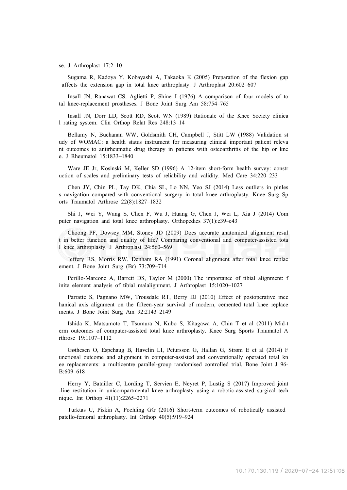#### se. J Arthroplast 17:2–10

Sugama R, Kadoya Y, Kobayashi A, Takaoka K (2005) Preparation of the flexion gap affects the extension gap in total knee arthroplasty. J Arthroplast 20:602–607

Insall JN, Ranawat CS, Aglietti P, Shine J (1976) A comparison of four models of to tal knee-replacement prostheses. J Bone Joint Surg Am 58:754–765

Insall JN, Dorr LD, Scott RD, Scott WN (1989) Rationale of the Knee Society clinica l rating system. Clin Orthop Relat Res 248:13–14

Bellamy N, Buchanan WW, Goldsmith CH, Campbell J, Stitt LW (1988) Validation st udy of WOMAC: a health status instrument for measuring clinical important patient releva nt outcomes to antirheumatic drug therapy in patients with osteoarthritis of the hip or kne e. J Rheumatol 15:1833–1840

Ware JE Jr, Kosinski M, Keller SD (1996) A 12-item short-form health survey: constr uction of scales and preliminary tests of reliability and validity. Med Care 34:220–233

Chen JY, Chin PL, Tay DK, Chia SL, Lo NN, Yeo SJ (2014) Less outliers in pinles s navigation compared with conventional surgery in total knee arthroplasty. Knee Surg Sp orts Traumatol Arthrosc 22(8):1827–1832

Shi J, Wei Y, Wang S, Chen F, Wu J, Huang G, Chen J, Wei L, Xia J (2014) Com puter navigation and total knee arthroplasty. Orthopedics 37(1):e39–e43

Choong PF, Dowsey MM, Stoney JD (2009) Does accurate anatomical alignment resul t in better function and quality of life? Comparing conventional and computer-assisted tota l knee arthroplasty. J Arthroplast 24:560–569

Jeffery RS, Morris RW, Denham RA (1991) Coronal alignment after total knee replac ement. J Bone Joint Surg (Br) 73:709–714

Perillo-Marcone A, Barrett DS, Taylor M (2000) The importance of tibial alignment: f inite element analysis of tibial malalignment. J Arthroplast 15:1020–1027

Parratte S, Pagnano MW, Trousdale RT, Berry DJ (2010) Effect of postoperative mec hanical axis alignment on the fifteen-year survival of modern, cemented total knee replace ments. J Bone Joint Surg Am 92:2143–2149

Ishida K, Matsumoto T, Tsumura N, Kubo S, Kitagawa A, Chin T et al (2011) Mid-t erm outcomes of computer-assisted total knee arthroplasty. Knee Surg Sports Traumatol A rthrosc 19:1107–1112

Gøthesen O, Espehaug B, Havelin LI, Petursson G, Hallan G, Strøm E et al (2014) F unctional outcome and alignment in computer-assisted and conventionally operated total kn ee replacements: a multicentre parallel-group randomised controlled trial. Bone Joint J 96- B:609–618

Herry Y, Batailler C, Lording T, Servien E, Neyret P, Lustig S (2017) Improved joint -line restitution in unicompartmental knee arthroplasty using a robotic-assisted surgical tech nique. Int Orthop 41(11):2265–2271

Turktas U, Piskin A, Poehling GG (2016) Short-term outcomes of robotically assisted patello-femoral arthroplasty. Int Orthop 40(5):919–924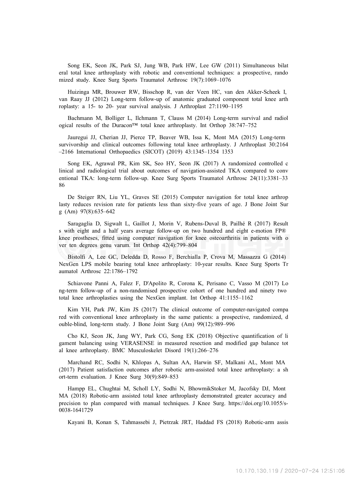Song EK, Seon JK, Park SJ, Jung WB, Park HW, Lee GW (2011) Simultaneous bilat eral total knee arthroplasty with robotic and conventional techniques: a prospective, rando mized study. Knee Surg Sports Traumatol Arthrosc 19(7):1069–1076

Huizinga MR, Brouwer RW, Bisschop R, van der Veen HC, van den Akker-Scheek I, van Raay JJ (2012) Long-term follow-up of anatomic graduated component total knee arth roplasty: a 15- to 20- year survival analysis. J Arthroplast 27:1190–1195

Bachmann M, Bolliger L, Ilchmann T, Clauss M (2014) Long-term survival and radiol ogical results of the Duracon™ total knee arthroplasty. Int Orthop 38:747–752

Jauregui JJ, Cherian JJ, Pierce TP, Beaver WB, Issa K, Mont MA (2015) Long-term survivorship and clinical outcomes following total knee arthroplasty. J Arthroplast 30:2164 –2166 International Orthopaedics (SICOT) (2019) 43:1345–1354 1353

Song EK, Agrawal PR, Kim SK, Seo HY, Seon JK (2017) A randomized controlled c linical and radiological trial about outcomes of navigation-assisted TKA compared to conv entional TKA: long-term follow-up. Knee Surg Sports Traumatol Arthrosc 24(11):3381–33 86

De Steiger RN, Liu YL, Graves SE (2015) Computer navigation for total knee arthrop lasty reduces revision rate for patients less than sixty-five years of age. J Bone Joint Sur g (Am) 97(8):635–642

Saragaglia D, Sigwalt L, Gaillot J, Morin V, Rubens-Duval B, Pailhé R (2017) Result s with eight and a half years average follow-up on two hundred and eight e-motion FP® knee prostheses, fitted using computer navigation for knee osteoarthritis in patients with o ver ten degrees genu varum. Int Orthop 42(4):799–804

Bistolfi A, Lee GC, Deledda D, Rosso F, Berchialla P, Crova M, Massazza G (2014) NexGen LPS mobile bearing total knee arthroplasty: 10-year results. Knee Surg Sports Tr aumatol Arthrosc 22:1786–1792

Schiavone Panni A, Falez F, D'Apolito R, Corona K, Perisano C, Vasso M (2017) Lo ng-term follow-up of a non-randomised prospective cohort of one hundred and ninety two total knee arthroplasties using the NexGen implant. Int Orthop 41:1155–1162

Kim YH, Park JW, Kim JS (2017) The clinical outcome of computer-navigated compa red with conventional knee arthroplasty in the same patients: a prospective, randomized, d ouble-blind, long-term study. J Bone Joint Surg (Am) 99(12):989–996

Cho KJ, Seon JK, Jang WY, Park CG, Song EK (2018) Objective quantification of li gament balancing using VERASENSE in measured resection and modified gap balance tot al knee arthroplasty. BMC Musculoskelet Disord 19(1):266–276

Marchand RC, Sodhi N, Khlopas A, Sultan AA, Harwin SF, Malkani AL, Mont MA (2017) Patient satisfaction outcomes after robotic arm-assisted total knee arthroplasty: a sh ort-term evaluation. J Knee Surg 30(9):849–853

Hampp EL, Chughtai M, Scholl LY, Sodhi N, BhowmikStoker M, Jacofsky DJ, Mont MA (2018) Robotic-arm assisted total knee arthroplasty demonstrated greater accuracy and precision to plan compared with manual techniques. J Knee Surg. https://doi.org/10.1055/s-0038-1641729

Kayani B, Konan S, Tahmassebi J, Pietrzak JRT, Haddad FS (2018) Robotic-arm assis